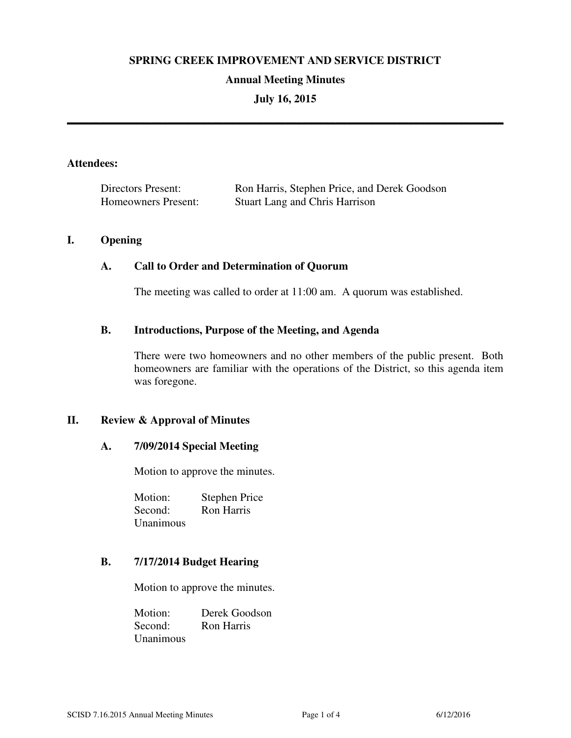### **SPRING CREEK IMPROVEMENT AND SERVICE DISTRICT**

#### **Annual Meeting Minutes**

## **July 16, 2015**

**\_\_\_\_\_\_\_\_\_\_\_\_\_\_\_\_\_\_\_\_\_\_\_\_\_\_\_\_\_\_\_\_\_\_\_\_\_\_\_\_\_\_\_\_\_\_\_\_\_\_\_\_\_\_\_\_\_\_\_\_\_\_\_\_\_\_\_\_\_\_\_\_\_\_\_\_\_\_** 

#### **Attendees:**

| Directors Present:  | Ron Harris, Stephen Price, and Derek Goodson |
|---------------------|----------------------------------------------|
| Homeowners Present: | <b>Stuart Lang and Chris Harrison</b>        |

### **I. Opening**

### **A. Call to Order and Determination of Quorum**

The meeting was called to order at 11:00 am. A quorum was established.

### **B. Introductions, Purpose of the Meeting, and Agenda**

There were two homeowners and no other members of the public present. Both homeowners are familiar with the operations of the District, so this agenda item was foregone.

## **II. Review & Approval of Minutes**

#### **A. 7/09/2014 Special Meeting**

Motion to approve the minutes.

Motion: Stephen Price Second: Ron Harris Unanimous

## **B. 7/17/2014 Budget Hearing**

Motion to approve the minutes.

Motion: Derek Goodson Second: Ron Harris Unanimous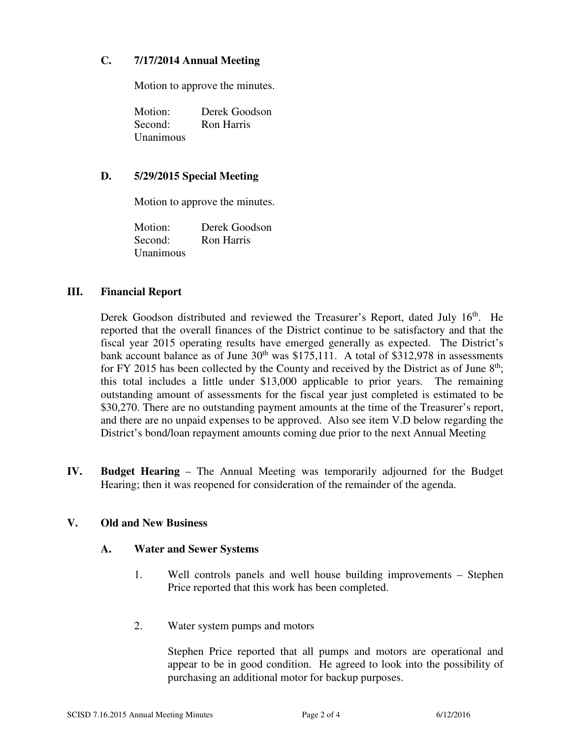# **C. 7/17/2014 Annual Meeting**

Motion to approve the minutes.

Motion: Derek Goodson Second: Ron Harris Unanimous

# **D. 5/29/2015 Special Meeting**

Motion to approve the minutes.

Motion: Derek Goodson Second: Ron Harris Unanimous

# **III. Financial Report**

Derek Goodson distributed and reviewed the Treasurer's Report, dated July 16<sup>th</sup>. He reported that the overall finances of the District continue to be satisfactory and that the fiscal year 2015 operating results have emerged generally as expected. The District's bank account balance as of June  $30<sup>th</sup>$  was \$175,111. A total of \$312,978 in assessments for FY 2015 has been collected by the County and received by the District as of June  $8<sup>th</sup>$ ; this total includes a little under \$13,000 applicable to prior years. The remaining outstanding amount of assessments for the fiscal year just completed is estimated to be \$30,270. There are no outstanding payment amounts at the time of the Treasurer's report, and there are no unpaid expenses to be approved. Also see item V.D below regarding the District's bond/loan repayment amounts coming due prior to the next Annual Meeting

**IV. Budget Hearing** – The Annual Meeting was temporarily adjourned for the Budget Hearing; then it was reopened for consideration of the remainder of the agenda.

# **V. Old and New Business**

## **A. Water and Sewer Systems**

- 1. Well controls panels and well house building improvements Stephen Price reported that this work has been completed.
- 2. Water system pumps and motors

Stephen Price reported that all pumps and motors are operational and appear to be in good condition. He agreed to look into the possibility of purchasing an additional motor for backup purposes.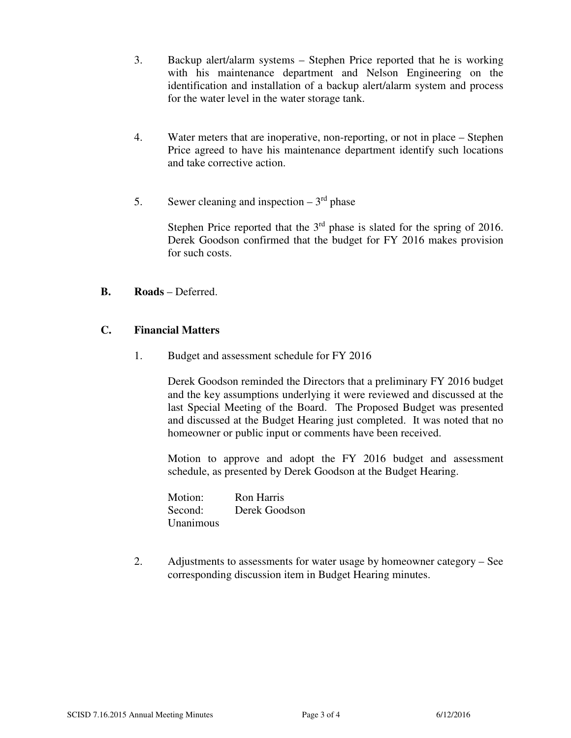- 3. Backup alert/alarm systems Stephen Price reported that he is working with his maintenance department and Nelson Engineering on the identification and installation of a backup alert/alarm system and process for the water level in the water storage tank.
- 4. Water meters that are inoperative, non-reporting, or not in place Stephen Price agreed to have his maintenance department identify such locations and take corrective action.
- 5. Sewer cleaning and inspection  $-3<sup>rd</sup>$  phase

Stephen Price reported that the  $3<sup>rd</sup>$  phase is slated for the spring of 2016. Derek Goodson confirmed that the budget for FY 2016 makes provision for such costs.

## **B. Roads** – Deferred.

## **C. Financial Matters**

1. Budget and assessment schedule for FY 2016

Derek Goodson reminded the Directors that a preliminary FY 2016 budget and the key assumptions underlying it were reviewed and discussed at the last Special Meeting of the Board. The Proposed Budget was presented and discussed at the Budget Hearing just completed. It was noted that no homeowner or public input or comments have been received.

Motion to approve and adopt the FY 2016 budget and assessment schedule, as presented by Derek Goodson at the Budget Hearing.

| Motion:   | <b>Ron Harris</b> |
|-----------|-------------------|
| Second:   | Derek Goodson     |
| Unanimous |                   |

2. Adjustments to assessments for water usage by homeowner category – See corresponding discussion item in Budget Hearing minutes.